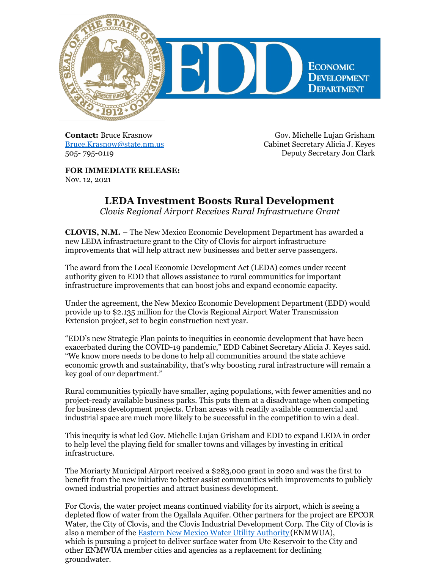

**Contact:** Bruce Krasnow [Bruce.Krasnow@state.nm.us](mailto:Bruce.Krasnow@state.nm.us) 505- 795-0119

Gov. Michelle Lujan Grisham Cabinet Secretary Alicia J. Keyes Deputy Secretary Jon Clark

**FOR IMMEDIATE RELEASE:** Nov. 12, 2021

## **LEDA Investment Boosts Rural Development**

*Clovis Regional Airport Receives Rural Infrastructure Grant*

**CLOVIS, N.M.** – The New Mexico Economic Development Department has awarded a new LEDA infrastructure grant to the City of Clovis for airport infrastructure improvements that will help attract new businesses and better serve passengers.

The award from the Local Economic Development Act (LEDA) comes under recent authority given to EDD that allows assistance to rural communities for important infrastructure improvements that can boost jobs and expand economic capacity.

Under the agreement, the New Mexico Economic Development Department (EDD) would provide up to \$2.135 million for the Clovis Regional Airport Water Transmission Extension project, set to begin construction next year.

"EDD's new Strategic Plan points to inequities in economic development that have been exacerbated during the COVID-19 pandemic," EDD Cabinet Secretary Alicia J. Keyes said. "We know more needs to be done to help all communities around the state achieve economic growth and sustainability, that's why boosting rural infrastructure will remain a key goal of our department."

Rural communities typically have smaller, aging populations, with fewer amenities and no project-ready available business parks. This puts them at a disadvantage when competing for business development projects. Urban areas with readily available commercial and industrial space are much more likely to be successful in the competition to win a deal.

This inequity is what led Gov. Michelle Lujan Grisham and EDD to expand LEDA in order to help level the playing field for smaller towns and villages by investing in critical infrastructure.

The Moriarty Municipal Airport received a \$283,000 grant in 2020 and was the first to benefit from the new initiative to better assist communities with improvements to publicly owned industrial properties and attract business development.

For Clovis, the water project means continued viability for its airport, which is seeing a depleted flow of water from the Ogallala Aquifer. Other partners for the project are EPCOR Water, the City of Clovis, and the Clovis Industrial Development Corp. The City of Clovis is also a member of the Eastern New Mexico Water Utility [Authority](http://www.enmwua.com/) (ENMWUA), which is pursuing a project to deliver surface water from Ute Reservoir to the City and other ENMWUA member cities and agencies as a replacement for declining groundwater.